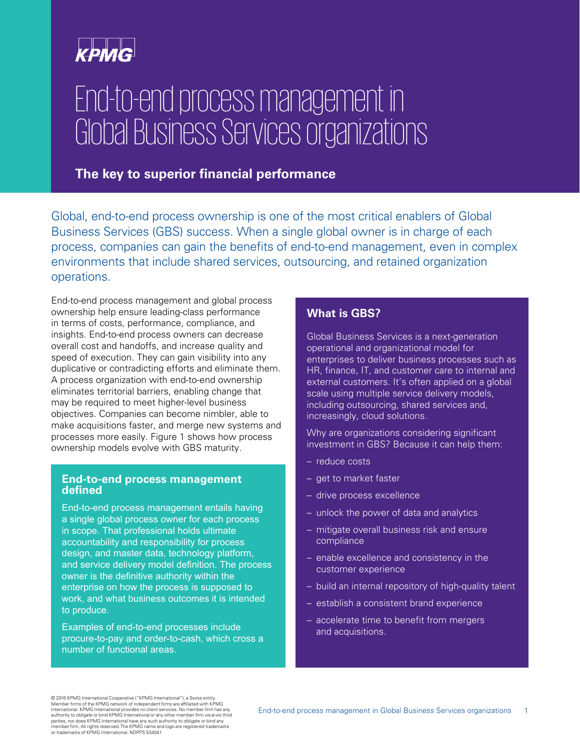## **KPMG**

# End-to-end process management in Global Business Services organizations

#### **The key to superior financial performance**

Global, end-to-end process ownership is one of the most critical enablers of Global Business Services (GBS) success. When a single global owner is in charge of each process, companies can gain the benefits of end-to-end management, even in complex environments that include shared services, outsourcing, and retained organization operations.

End-to-end process management and global process ownership help ensure leading-class performance in terms of costs, performance, compliance, and insights. End-to-end process owners can decrease overall cost and handoffs, and increase quality and speed of execution. They can gain visibility into any duplicative or contradicting efforts and eliminate them. A process organization with end-to-end ownership eliminates territorial barriers, enabling change that may be required to meet higher-level business objectives. Companies can become nimbler, able to make acquisitions faster, and merge new systems and processes more easily. Figure 1 shows how process ownership models evolve with GBS maturity.

#### **End-to-end process management defined**

End-to-end process management entails having a single global process owner for each process in scope. That professional holds ultimate accountability and responsibility for process design, and master data, technology platform, and service delivery model definition. The process owner is the definitive authority within the enterprise on how the process is supposed to work, and what business outcomes it is intended to produce.

Examples of end-to-end processes include procure-to-pay and order-to-cash, which cross a number of functional areas.

#### **What is GBS?**

Global Business Services is a next-generation operational and organizational model for enterprises to deliver business processes such as HR, finance, IT, and customer care to internal and external customers. It's often applied on a global scale using multiple service delivery models, including outsourcing, shared services and, increasingly, cloud solutions.

Why are organizations considering significant investment in GBS? Because it can help them:

- reduce costs
- get to market faster
- drive process excellence
- unlock the power of data and analytics
- mitigate overall business risk and ensure compliance
- enable excellence and consistency in the customer experience
- build an internal repository of high-quality talent
- establish a consistent brand experience
- accelerate time to benefit from mergers and acquisitions.

© 2016 KPMG International Cooperative ("KPMG International"), a Swiss entity.<br>Member firms of the KPMG network of independent firms are affiliated with KPMG<br>International. KPMG International provides no client services. No authority to obligate or bind KPMG International or any other member firm vis-à-vis third<br>parties, nor does KPMG International have any such authority to obligate or bind any<br>member firm. All rights reserved. The KPMG name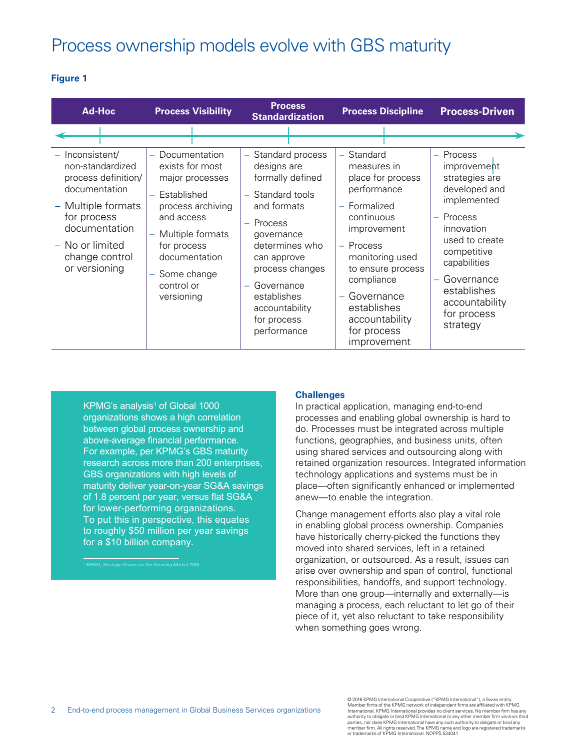### Process ownership models evolve with GBS maturity

#### **Figure 1**

| <b>Ad-Hoc</b>                                                                                                                                                                           | <b>Process Visibility</b>                                                                                                                                                                                | <b>Process</b><br><b>Standardization</b>                                                                                                                                                                                                                                       | <b>Process Discipline</b>                                                                                                                                                                                                                                      | <b>Process-Driven</b>                                                                                                                                                                                                                                |
|-----------------------------------------------------------------------------------------------------------------------------------------------------------------------------------------|----------------------------------------------------------------------------------------------------------------------------------------------------------------------------------------------------------|--------------------------------------------------------------------------------------------------------------------------------------------------------------------------------------------------------------------------------------------------------------------------------|----------------------------------------------------------------------------------------------------------------------------------------------------------------------------------------------------------------------------------------------------------------|------------------------------------------------------------------------------------------------------------------------------------------------------------------------------------------------------------------------------------------------------|
|                                                                                                                                                                                         |                                                                                                                                                                                                          |                                                                                                                                                                                                                                                                                |                                                                                                                                                                                                                                                                |                                                                                                                                                                                                                                                      |
| - Inconsistent/<br>non-standardized<br>process definition/<br>documentation<br>- Multiple formats<br>for process<br>documentation<br>- No or limited<br>change control<br>or versioning | Documentation<br>exists for most<br>major processes<br>Established<br>process archiving<br>and access<br>- Multiple formats<br>for process<br>documentation<br>- Some change<br>control or<br>versioning | - Standard process<br>designs are<br>formally defined<br>- Standard tools<br>and formats<br>Process<br>$\overline{\phantom{m}}$<br>governance<br>determines who<br>can approve<br>process changes<br>Governance<br>establishes<br>accountability<br>for process<br>performance | Standard<br>measures in<br>place for process<br>performance<br>Formalized<br>÷<br>continuous<br>improvement<br>Process<br>÷<br>monitoring used<br>to ensure process<br>compliance<br>Governance<br>establishes<br>accountability<br>for process<br>improvement | - Process<br>improvement<br>strategies are<br>developed and<br>implemented<br>Process<br>$\rightarrow$<br>innovation<br>used to create<br>competitive<br>capabilities<br>Governance<br>÷<br>establishes<br>accountability<br>for process<br>strategy |

KPMG's analysis<sup>1</sup> of Global 1000 organizations shows a high correlation between global process ownership and above-average financial performance. For example, per KPMG's GBS maturity research across more than 200 enterprises, GBS organizations with high levels of maturity deliver year-on-year SG&A savings of 1.8 percent per year, versus flat SG&A for lower-performing organizations. To put this in perspective, this equates to roughly \$50 million per year savings for a \$10 billion company.

KPMG, Strategic Visions on the Sourcing Market 2015.

#### **Challenges**

In practical application, managing end-to-end processes and enabling global ownership is hard to do. Processes must be integrated across multiple functions, geographies, and business units, often using shared services and outsourcing along with retained organization resources. Integrated information technology applications and systems must be in place—often significantly enhanced or implemented anew—to enable the integration.

Change management efforts also play a vital role in enabling global process ownership. Companies have historically cherry-picked the functions they moved into shared services, left in a retained organization, or outsourced. As a result, issues can arise over ownership and span of control, functional responsibilities, handoffs, and support technology. More than one group—internally and externally—is managing a process, each reluctant to let go of their piece of it, yet also reluctant to take responsibility when something goes wrong.

© 2016 KPMG International Cooperative ("KPMG International"), a Swiss entity. Member firms of the KPMG network of independent firms are affiliated with KPMG<br>International. KPMG International provides no client services. No member firm has any<br>authority to obligate or bind KPMG International or any o parties, nor does KPMG International have any such authority to obligate or bind any member firm. All rights reserved. The KPMG name and logo are registered trademarks or trademarks of KPMG International. NDPPS 534041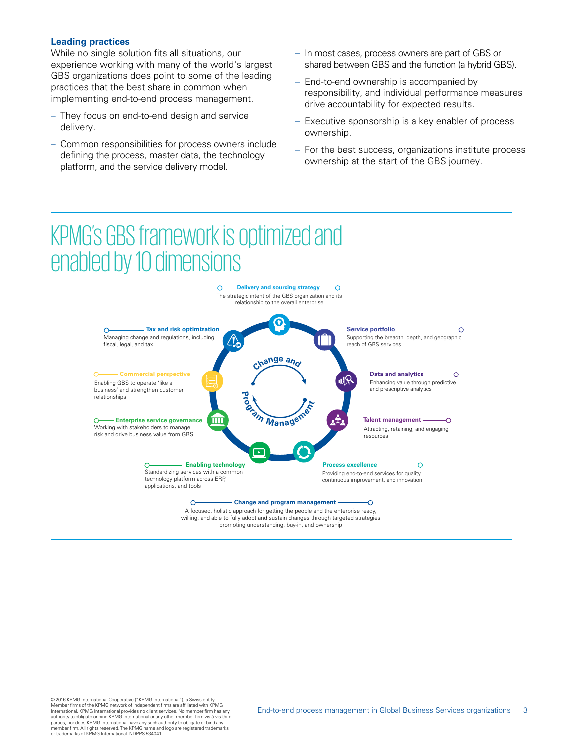#### **Leading practices**

While no single solution fits all situations, our experience working with many of the world's largest GBS organizations does point to some of the leading practices that the best share in common when implementing end-to-end process management.

- They focus on end-to-end design and service delivery.
- Common responsibilities for process owners include defining the process, master data, the technology platform, and the service delivery model.
- In most cases, process owners are part of GBS or shared between GBS and the function (a hybrid GBS).
- End-to-end ownership is accompanied by responsibility, and individual performance measures drive accountability for expected results.
- Executive sponsorship is a key enabler of process ownership.
- For the best success, organizations institute process ownership at the start of the GBS journey.

## KPMG's GBS framework is optimized and enabled by 10 dimensions

 $\Omega$ 



**Delivery and sourcing strategy**

A focused, holistic approach for getting the people and the enterprise ready, willing, and able to fully adopt and sustain changes through targeted strategies promoting understanding, buy-in, and ownership